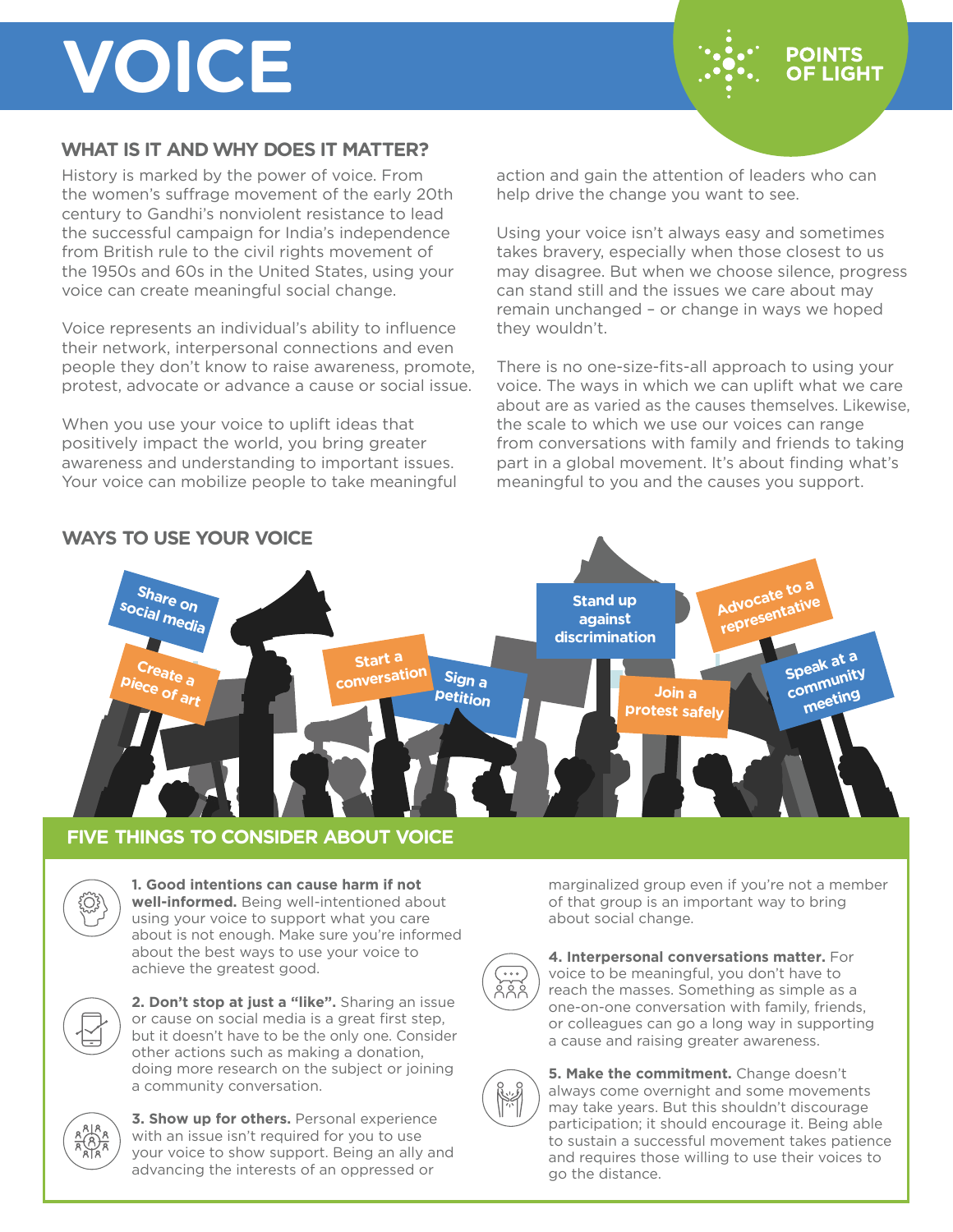# **VOICE**

### **WHAT IS IT AND WHY DOES IT MATTER?**

History is marked by the power of voice. From the women's suffrage movement of the early 20th century to Gandhi's nonviolent resistance to lead the successful campaign for India's independence from British rule to the civil rights movement of the 1950s and 60s in the United States, using your voice can create meaningful social change.

Voice represents an individual's ability to influence their network, interpersonal connections and even people they don't know to raise awareness, promote, protest, advocate or advance a cause or social issue.

When you use your voice to uplift ideas that positively impact the world, you bring greater awareness and understanding to important issues. Your voice can mobilize people to take meaningful action and gain the attention of leaders who can help drive the change you want to see.

**POINTS OF LIGHT** 

Using your voice isn't always easy and sometimes takes bravery, especially when those closest to us may disagree. But when we choose silence, progress can stand still and the issues we care about may remain unchanged – or change in ways we hoped they wouldn't.

There is no one-size-fits-all approach to using your voice. The ways in which we can uplift what we care about are as varied as the causes themselves. Likewise, the scale to which we use our voices can range from conversations with family and friends to taking part in a global movement. It's about finding what's meaningful to you and the causes you support.



### **FIVE THINGS TO CONSIDER ABOUT VOICE**



**1. Good intentions can cause harm if not well-informed.** Being well-intentioned about using your voice to support what you care about is not enough. Make sure you're informed about the best ways to use your voice to achieve the greatest good.



**2. Don't stop at just a "like".** Sharing an issue or cause on social media is a great first step, but it doesn't have to be the only one. Consider other actions such as making a donation, doing more research on the subject or joining a community conversation.



**3. Show up for others.** Personal experience with an issue isn't required for you to use your voice to show support. Being an ally and advancing the interests of an oppressed or

marginalized group even if you're not a member of that group is an important way to bring about social change.



**4. Interpersonal conversations matter.** For voice to be meaningful, you don't have to reach the masses. Something as simple as a one-on-one conversation with family, friends, or colleagues can go a long way in supporting a cause and raising greater awareness.



**5. Make the commitment.** Change doesn't always come overnight and some movements may take years. But this shouldn't discourage participation; it should encourage it. Being able to sustain a successful movement takes patience and requires those willing to use their voices to go the distance.